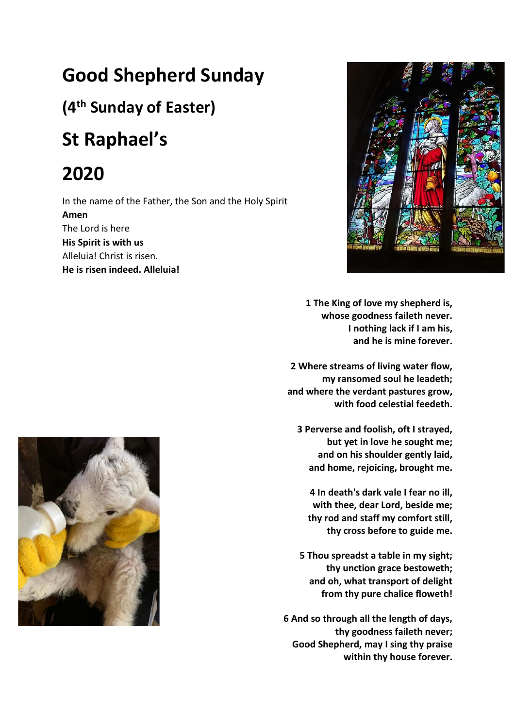# **Good Shepherd Sunday**

# **(4th Sunday of Easter)**

# **St Raphael's**

# **2020**

In the name of the Father, the Son and the Holy Spirit **Amen** The Lord is here **His Spirit is with us** Alleluia! Christ is risen. **He is risen indeed. Alleluia!**



**1 The King of love my shepherd is, whose goodness faileth never. I nothing lack if I am his, and he is mine forever.**

**2 Where streams of living water flow, my ransomed soul he leadeth; and where the verdant pastures grow, with food celestial feedeth.**

**3 Perverse and foolish, oft I strayed, but yet in love he sought me; and on his shoulder gently laid, and home, rejoicing, brought me.**

**4 In death's dark vale I fear no ill, with thee, dear Lord, beside me; thy rod and staff my comfort still, thy cross before to guide me.**

**5 Thou spreadst a table in my sight; thy unction grace bestoweth; and oh, what transport of delight from thy pure chalice floweth!**

**6 And so through all the length of days, thy goodness faileth never; Good Shepherd, may I sing thy praise within thy house forever.**

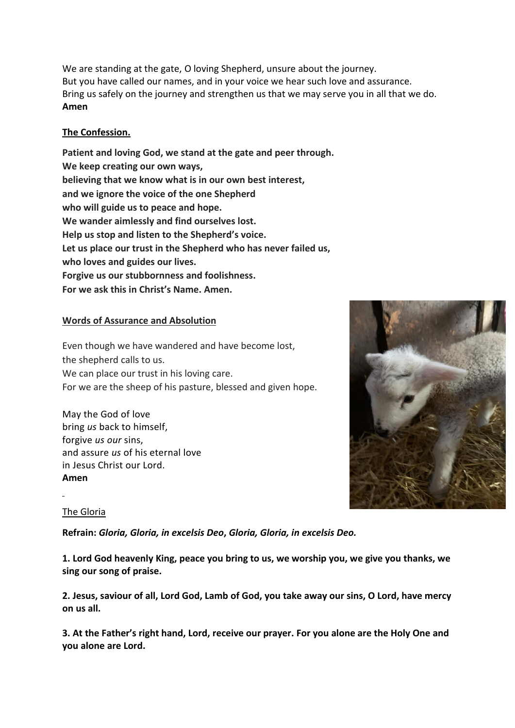We are standing at the gate, O loving Shepherd, unsure about the journey. But you have called our names, and in your voice we hear such love and assurance. Bring us safely on the journey and strengthen us that we may serve you in all that we do. **Amen**

### **The Confession.**

**Patient and loving God, we stand at the gate and peer through. We keep creating our own ways, believing that we know what is in our own best interest, and we ignore the voice of the one Shepherd who will guide us to peace and hope. We wander aimlessly and find ourselves lost. Help us stop and listen to the Shepherd's voice. Let us place our trust in the Shepherd who has never failed us, who loves and guides our lives. Forgive us our stubbornness and foolishness. For we ask this in Christ's Name. Amen.**

### **Words of Assurance and Absolution**

Even though we have wandered and have become lost, the shepherd calls to us. We can place our trust in his loving care. For we are the sheep of his pasture, blessed and given hope.

May the God of love bring *us* back to himself, forgive *us our* sins, and assure *us* of his eternal love in Jesus Christ our Lord. **Amen**



#### The Gloria

**Refrain:** *Gloria, Gloria, in excelsis Deo***,** *Gloria, Gloria, in excelsis Deo.*

**1. Lord God heavenly King, peace you bring to us, we worship you, we give you thanks, we sing our song of praise.** 

**2. Jesus, saviour of all, Lord God, Lamb of God, you take away our sins, O Lord, have mercy on us all.** 

**3. At the Father's right hand, Lord, receive our prayer. For you alone are the Holy One and you alone are Lord.**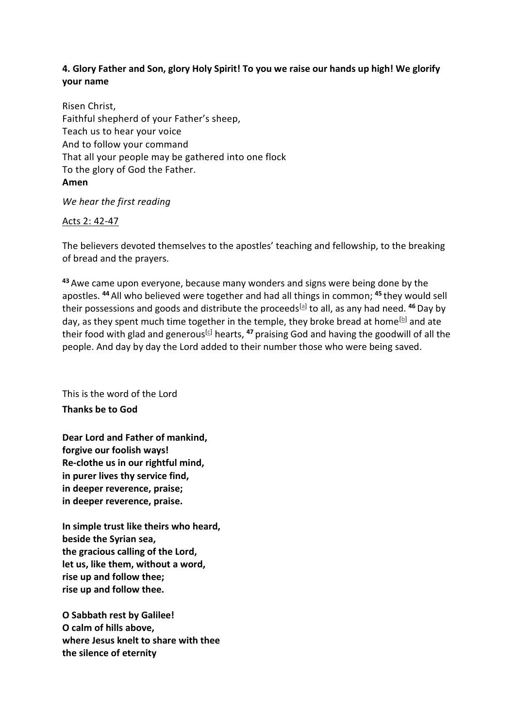## **4. Glory Father and Son, glory Holy Spirit! To you we raise our hands up high! We glorify your name**

Risen Christ, Faithful shepherd of your Father's sheep, Teach us to hear your voice And to follow your command That all your people may be gathered into one flock To the glory of God the Father. **Amen**

*We hear the first reading*

### Acts 2: 42-47

The believers devoted themselves to the apostles' teaching and fellowship, to the breaking of bread and the prayers.

**<sup>43</sup>** Awe came upon everyone, because many wonders and signs were being done by the apostles. **<sup>44</sup>** All who believed were together and had all things in common; **<sup>45</sup>** they would sell their possessions and goods and distribute the proceeds<sup>[\[a\]](https://www.biblegateway.com/passage/?search=acts+2%3A+42-+47&version=NRSVA#fen-NRSVA-26984a)</sup> to all, as any had need. <sup>46</sup> Day by day, as they spent much time together in the temple, they broke bread at home<sup>[\[b\]](https://www.biblegateway.com/passage/?search=acts+2%3A+42-+47&version=NRSVA#fen-NRSVA-26985b)</sup> and ate their food with glad and generous<sup>[\[c\]](https://www.biblegateway.com/passage/?search=acts+2%3A+42-+47&version=NRSVA#fen-NRSVA-26985c)</sup> hearts, <sup>47</sup> praising God and having the goodwill of all the people. And day by day the Lord added to their number those who were being saved.

This is the word of the Lord **Thanks be to God**

**Dear Lord and Father of mankind, forgive our foolish ways! Re-clothe us in our rightful mind, in purer lives thy service find, in deeper reverence, praise; in deeper reverence, praise.**

**In simple trust like theirs who heard, beside the Syrian sea, the gracious calling of the Lord, let us, like them, without a word, rise up and follow thee; rise up and follow thee.**

**O Sabbath rest by Galilee! O calm of hills above, where Jesus knelt to share with thee the silence of eternity**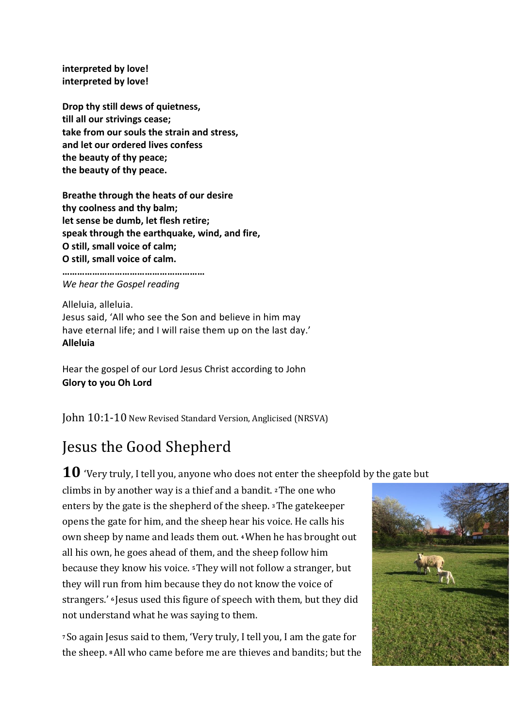**interpreted by love! interpreted by love!**

**Drop thy still dews of quietness, till all our strivings cease; take from our souls the strain and stress, and let our ordered lives confess the beauty of thy peace; the beauty of thy peace.**

**Breathe through the heats of our desire thy coolness and thy balm; let sense be dumb, let flesh retire; speak through the earthquake, wind, and fire, O still, small voice of calm; O still, small voice of calm.**

**…………………………………………………** *We hear the Gospel reading*

Alleluia, alleluia. Jesus said, 'All who see the Son and believe in him may have eternal life; and I will raise them up on the last day.' **Alleluia**

Hear the gospel of our Lord Jesus Christ according to John **Glory to you Oh Lord**

John 10:1-10 New Revised Standard Version, Anglicised (NRSVA)

# Jesus the Good Shepherd

**10** 'Very truly, I tell you, anyone who does not enter the sheepfold by the gate but

climbs in by another way is a thief and a bandit. **2**The one who enters by the gate is the shepherd of the sheep. **3**The gatekeeper opens the gate for him, and the sheep hear his voice. He calls his own sheep by name and leads them out. **4**When he has brought out all his own, he goes ahead of them, and the sheep follow him because they know his voice. **5**They will not follow a stranger, but they will run from him because they do not know the voice of strangers.' **<sup>6</sup>** Jesus used this figure of speech with them, but they did not understand what he was saying to them.

**<sup>7</sup>** So again Jesus said to them, 'Very truly, I tell you, I am the gate for the sheep. **8**All who came before me are thieves and bandits; but the

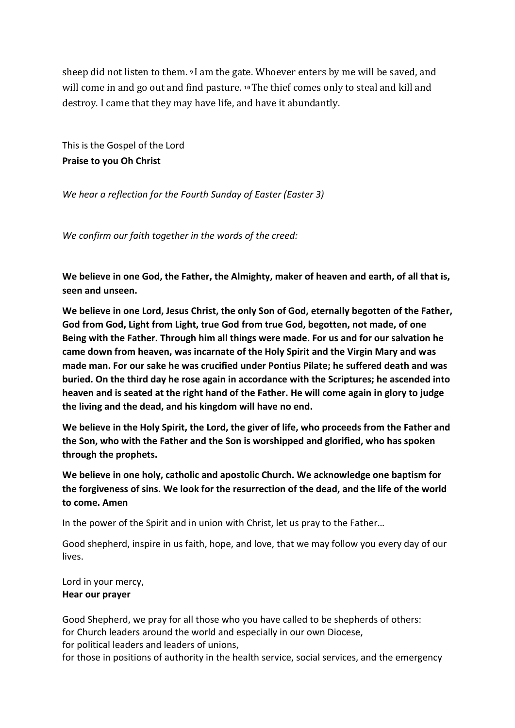sheep did not listen to them. **<sup>9</sup>** I am the gate. Whoever enters by me will be saved, and will come in and go out and find pasture. **10**The thief comes only to steal and kill and destroy. I came that they may have life, and have it abundantly.

This is the Gospel of the Lord **Praise to you Oh Christ**

*We hear a reflection for the Fourth Sunday of Easter (Easter 3)*

*We confirm our faith together in the words of the creed:*

**We believe in one God, the Father, the Almighty, maker of heaven and earth, of all that is, seen and unseen.** 

**We believe in one Lord, Jesus Christ, the only Son of God, eternally begotten of the Father, God from God, Light from Light, true God from true God, begotten, not made, of one Being with the Father. Through him all things were made. For us and for our salvation he came down from heaven, was incarnate of the Holy Spirit and the Virgin Mary and was made man. For our sake he was crucified under Pontius Pilate; he suffered death and was buried. On the third day he rose again in accordance with the Scriptures; he ascended into heaven and is seated at the right hand of the Father. He will come again in glory to judge the living and the dead, and his kingdom will have no end.** 

**We believe in the Holy Spirit, the Lord, the giver of life, who proceeds from the Father and the Son, who with the Father and the Son is worshipped and glorified, who has spoken through the prophets.** 

**We believe in one holy, catholic and apostolic Church. We acknowledge one baptism for the forgiveness of sins. We look for the resurrection of the dead, and the life of the world to come. Amen** 

In the power of the Spirit and in union with Christ, let us pray to the Father…

Good shepherd, inspire in us faith, hope, and love, that we may follow you every day of our lives.

Lord in your mercy, **Hear our prayer**

Good Shepherd, we pray for all those who you have called to be shepherds of others: for Church leaders around the world and especially in our own Diocese, for political leaders and leaders of unions,

for those in positions of authority in the health service, social services, and the emergency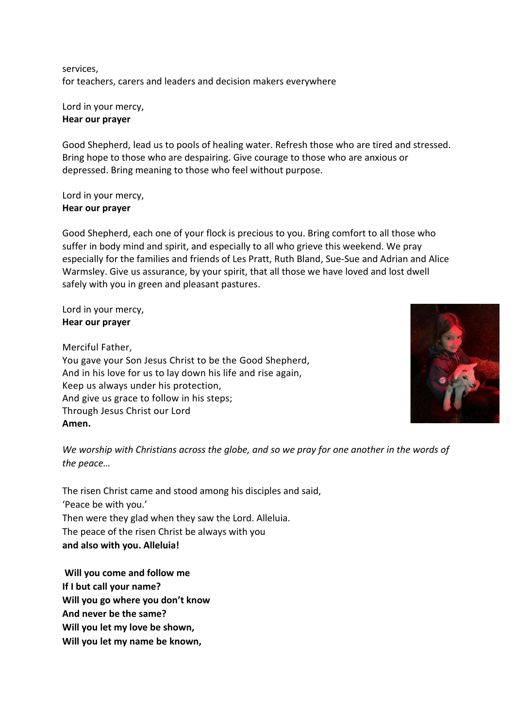services, for teachers, carers and leaders and decision makers everywhere

Lord in your mercy, **Hear our prayer**

Good Shepherd, lead us to pools of healing water. Refresh those who are tired and stressed. Bring hope to those who are despairing. Give courage to those who are anxious or depressed. Bring meaning to those who feel without purpose.

Lord in your mercy, **Hear our prayer**

Good Shepherd, each one of your flock is precious to you. Bring comfort to all those who suffer in body mind and spirit, and especially to all who grieve this weekend. We pray especially for the families and friends of Les Pratt, Ruth Bland, Sue-Sue and Adrian and Alice Warmsley. Give us assurance, by your spirit, that all those we have loved and lost dwell safely with you in green and pleasant pastures.

Lord in your mercy, **Hear our prayer**

Merciful Father,

You gave your Son Jesus Christ to be the Good Shepherd, And in his love for us to lay down his life and rise again, Keep us always under his protection, And give us grace to follow in his steps; Through Jesus Christ our Lord **Amen.**



*We worship with Christians across the globe, and so we pray for one another in the words of the peace…*

The risen Christ came and stood among his disciples and said, 'Peace be with you.' Then were they glad when they saw the Lord. Alleluia. The peace of the risen Christ be always with you **and also with you. Alleluia!** 

**Will you come and follow me If I but call your name? Will you go where you don't know And never be the same? Will you let my love be shown, Will you let my name be known,**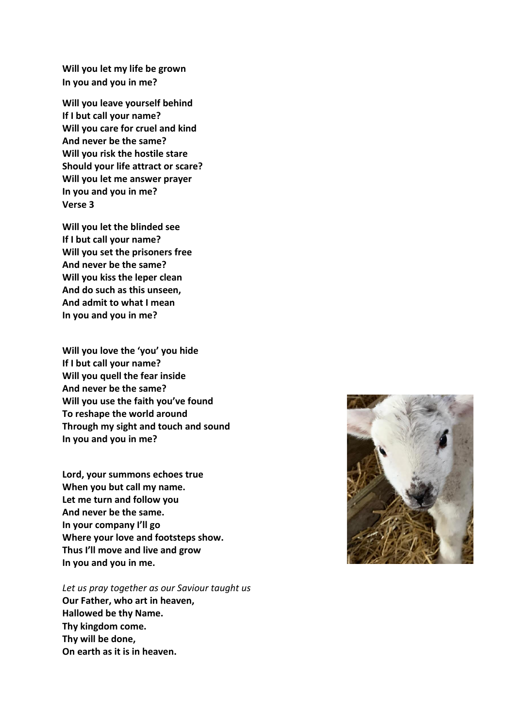**Will you let my life be grown In you and you in me?** 

**Will you leave yourself behind If I but call your name? Will you care for cruel and kind And never be the same? Will you risk the hostile stare Should your life attract or scare? Will you let me answer prayer In you and you in me? Verse 3**

**Will you let the blinded see If I but call your name? Will you set the prisoners free And never be the same? Will you kiss the leper clean And do such as this unseen, And admit to what I mean In you and you in me?** 

**Will you love the 'you' you hide If I but call your name? Will you quell the fear inside And never be the same? Will you use the faith you've found To reshape the world around Through my sight and touch and sound In you and you in me?** 

**Lord, your summons echoes true When you but call my name. Let me turn and follow you And never be the same. In your company I'll go Where your love and footsteps show. Thus I'll move and live and grow In you and you in me.** 

*Let us pray together as our Saviour taught us* **Our Father, who art in heaven, Hallowed be thy Name. Thy kingdom come. Thy will be done, On earth as it is in heaven.**